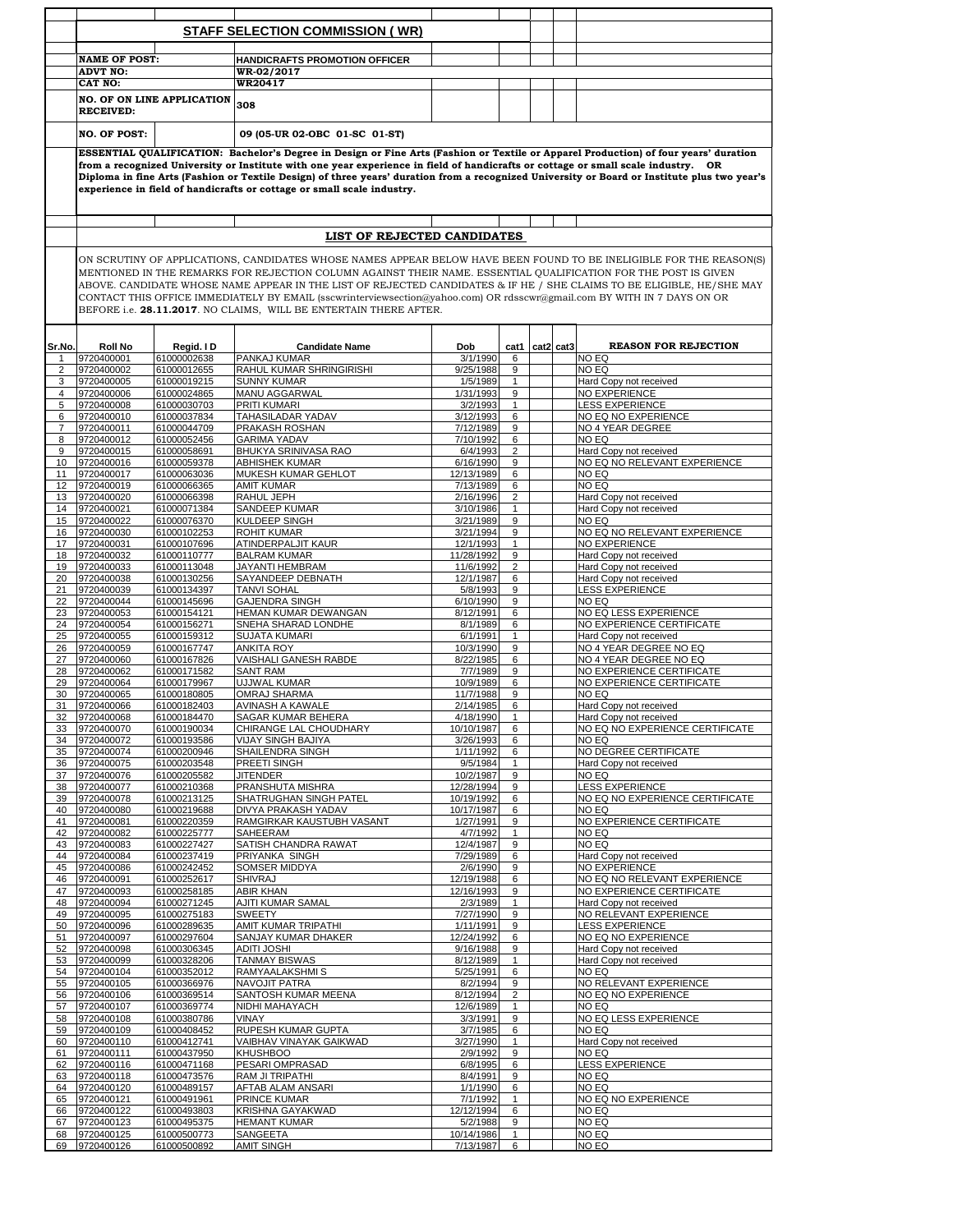|                       |                                                                                                                                                                                                                                                                                                                                                                                                                                                                                                                                                                 |                                   | <b>STAFF SELECTION COMMISSION (WR)</b>     |                         |                                |  |           |                                                     |
|-----------------------|-----------------------------------------------------------------------------------------------------------------------------------------------------------------------------------------------------------------------------------------------------------------------------------------------------------------------------------------------------------------------------------------------------------------------------------------------------------------------------------------------------------------------------------------------------------------|-----------------------------------|--------------------------------------------|-------------------------|--------------------------------|--|-----------|-----------------------------------------------------|
|                       |                                                                                                                                                                                                                                                                                                                                                                                                                                                                                                                                                                 |                                   |                                            |                         |                                |  |           |                                                     |
|                       | <b>NAME OF POST:</b>                                                                                                                                                                                                                                                                                                                                                                                                                                                                                                                                            |                                   | <b>HANDICRAFTS PROMOTION OFFICER</b>       |                         |                                |  |           |                                                     |
|                       | <b>ADVT NO:</b><br>CAT NO:                                                                                                                                                                                                                                                                                                                                                                                                                                                                                                                                      |                                   | <b>WR-02/2017</b><br><b>WR20417</b>        |                         |                                |  |           |                                                     |
|                       |                                                                                                                                                                                                                                                                                                                                                                                                                                                                                                                                                                 | <b>NO. OF ON LINE APPLICATION</b> |                                            |                         |                                |  |           |                                                     |
|                       | <b>RECEIVED:</b>                                                                                                                                                                                                                                                                                                                                                                                                                                                                                                                                                |                                   | 308                                        |                         |                                |  |           |                                                     |
|                       | <b>NO. OF POST:</b>                                                                                                                                                                                                                                                                                                                                                                                                                                                                                                                                             |                                   | 09 (05-UR 02-OBC 01-SC 01-ST)              |                         |                                |  |           |                                                     |
|                       | ESSENTIAL QUALIFICATION: Bachelor's Degree in Design or Fine Arts (Fashion or Textile or Apparel Production) of four years' duration<br>from a recognized University or Institute with one year experience in field of handicrafts or cottage or small scale industry. OR<br>Diploma in fine Arts (Fashion or Textile Design) of three years' duration from a recognized University or Board or Institute plus two year's<br>experience in field of handicrafts or cottage or small scale industry.                                                             |                                   |                                            |                         |                                |  |           |                                                     |
|                       |                                                                                                                                                                                                                                                                                                                                                                                                                                                                                                                                                                 |                                   | LIST OF REJECTED CANDIDATES                |                         |                                |  |           |                                                     |
|                       | ON SCRUTINY OF APPLICATIONS, CANDIDATES WHOSE NAMES APPEAR BELOW HAVE BEEN FOUND TO BE INELIGIBLE FOR THE REASON(S)<br>MENTIONED IN THE REMARKS FOR REJECTION COLUMN AGAINST THEIR NAME. ESSENTIAL QUALIFICATION FOR THE POST IS GIVEN<br>ABOVE. CANDIDATE WHOSE NAME APPEAR IN THE LIST OF REJECTED CANDIDATES & IF HE / SHE CLAIMS TO BE ELIGIBLE, HE/SHE MAY<br>CONTACT THIS OFFICE IMMEDIATELY BY EMAIL (sscwrinterviewsection@yahoo.com) OR rdsscwr@gmail.com BY WITH IN 7 DAYS ON OR<br>BEFORE i.e. 28.11.2017. NO CLAIMS, WILL BE ENTERTAIN THERE AFTER. |                                   |                                            |                         |                                |  |           |                                                     |
| Sr.No.                | <b>Roll No</b>                                                                                                                                                                                                                                                                                                                                                                                                                                                                                                                                                  | Regid. ID                         | <b>Candidate Name</b>                      | Dob                     | cat1                           |  | cat2 cat3 | <b>REASON FOR REJECTION</b>                         |
| $\mathbf{1}$          | 9720400001                                                                                                                                                                                                                                                                                                                                                                                                                                                                                                                                                      | 61000002638                       | PANKAJ KUMAR                               | 3/1/1990                | 6                              |  |           | NO EQ                                               |
| $\overline{2}$        | 9720400002                                                                                                                                                                                                                                                                                                                                                                                                                                                                                                                                                      | 61000012655                       | RAHUL KUMAR SHRINGIRISHI                   | 9/25/1988               | 9                              |  |           | NO EQ                                               |
| 3                     | 9720400005                                                                                                                                                                                                                                                                                                                                                                                                                                                                                                                                                      | 61000019215                       | <b>SUNNY KUMAR</b>                         | 1/5/1989                | $\mathbf{1}$                   |  |           | Hard Copy not received                              |
| 4                     | 9720400006<br>9720400008                                                                                                                                                                                                                                                                                                                                                                                                                                                                                                                                        | 61000024865<br>61000030703        | MANU AGGARWAL<br>PRITI KUMARI              | 1/31/1993<br>3/2/1993   | 9<br>$\mathbf{1}$              |  |           | NO EXPERIENCE<br><b>LESS EXPERIENCE</b>             |
| 5<br>6                | 9720400010                                                                                                                                                                                                                                                                                                                                                                                                                                                                                                                                                      | 61000037834                       | TAHASILADAR YADAV                          | 3/12/1993               | 6                              |  |           | NO EQ NO EXPERIENCE                                 |
| $\overline{7}$        | 9720400011                                                                                                                                                                                                                                                                                                                                                                                                                                                                                                                                                      | 61000044709                       | PRAKASH ROSHAN                             | 7/12/1989               | 9                              |  |           | NO 4 YEAR DEGREE                                    |
| 8                     | 9720400012                                                                                                                                                                                                                                                                                                                                                                                                                                                                                                                                                      | 61000052456                       | <b>GARIMA YADAV</b>                        | 7/10/1992               | 6                              |  |           | NO EQ                                               |
| 9                     | 9720400015                                                                                                                                                                                                                                                                                                                                                                                                                                                                                                                                                      | 61000058691                       | BHUKYA SRINIVASA RAO                       | 6/4/1993                | $\overline{c}$                 |  |           | Hard Copy not received                              |
| 10                    | 9720400016                                                                                                                                                                                                                                                                                                                                                                                                                                                                                                                                                      | 61000059378                       | ABHISHEK KUMAR                             | 6/16/1990               | 9                              |  |           | NO EQ NO RELEVANT EXPERIENCE                        |
| 11                    | 9720400017                                                                                                                                                                                                                                                                                                                                                                                                                                                                                                                                                      | 61000063036                       | MUKESH KUMAR GEHLOT                        | 12/13/1989              | 6                              |  |           | NO EQ                                               |
| 12 <sup>2</sup><br>13 | 9720400019<br>9720400020                                                                                                                                                                                                                                                                                                                                                                                                                                                                                                                                        | 61000066365<br>61000066398        | <b>AMIT KUMAR</b><br>RAHUL JEPH            | 7/13/1989<br>2/16/1996  | 6<br>$\overline{2}$            |  |           | NO EQ<br>Hard Copy not received                     |
| 14                    | 9720400021                                                                                                                                                                                                                                                                                                                                                                                                                                                                                                                                                      | 61000071384                       | SANDEEP KUMAR                              | 3/10/1986               | 1                              |  |           | Hard Copy not received                              |
| 15                    | 9720400022                                                                                                                                                                                                                                                                                                                                                                                                                                                                                                                                                      | 61000076370                       | KULDEEP SINGH                              | 3/21/1989               | 9                              |  |           | NO EQ                                               |
| 16                    | 9720400030                                                                                                                                                                                                                                                                                                                                                                                                                                                                                                                                                      | 61000102253                       | ROHIT KUMAR                                | 3/21/1994               | 9                              |  |           | NO EQ NO RELEVANT EXPERIENCE                        |
| 17                    | 9720400031                                                                                                                                                                                                                                                                                                                                                                                                                                                                                                                                                      | 61000107696                       | ATINDERPALJIT KAUR                         | 12/1/1993               | $\mathbf{1}$                   |  |           | NO EXPERIENCE                                       |
| 18                    | 9720400032                                                                                                                                                                                                                                                                                                                                                                                                                                                                                                                                                      | 61000110777                       | <b>BALRAM KUMAR</b>                        | 11/28/1992              | 9                              |  |           | Hard Copy not received                              |
| 19                    | 9720400033                                                                                                                                                                                                                                                                                                                                                                                                                                                                                                                                                      | 61000113048                       | <b>JAYANTI HEMBRAM</b>                     | 11/6/1992               | $\overline{2}$                 |  |           | Hard Copy not received                              |
| 20<br>21              | 9720400038<br>9720400039                                                                                                                                                                                                                                                                                                                                                                                                                                                                                                                                        | 61000130256<br>61000134397        | SAYANDEEP DEBNATH<br><b>TANVI SOHAL</b>    | 12/1/1987<br>5/8/1993   | 6<br>9                         |  |           | Hard Copy not received<br><b>LESS EXPERIENCE</b>    |
| 22                    | 9720400044                                                                                                                                                                                                                                                                                                                                                                                                                                                                                                                                                      | 61000145696                       | <b>GAJENDRA SINGH</b>                      | 6/10/1990               | 9                              |  |           | NO EQ                                               |
| 23                    | 9720400053                                                                                                                                                                                                                                                                                                                                                                                                                                                                                                                                                      | 61000154121                       | HEMAN KUMAR DEWANGAN                       | 8/12/1991               | 6                              |  |           | NO EQ LESS EXPERIENCE                               |
| 24                    | 9720400054                                                                                                                                                                                                                                                                                                                                                                                                                                                                                                                                                      | 61000156271                       | SNEHA SHARAD LONDHE                        | 8/1/1989                | 6                              |  |           | NO EXPERIENCE CERTIFICATE                           |
| 25                    | 9720400055                                                                                                                                                                                                                                                                                                                                                                                                                                                                                                                                                      | 61000159312                       | <b>SUJATA KUMARI</b>                       | 6/1/1991                | $\mathbf{1}$                   |  |           | Hard Copy not received                              |
| 26                    | 9720400059                                                                                                                                                                                                                                                                                                                                                                                                                                                                                                                                                      | 61000167747                       | ANKITA ROY<br><b>VAISHALI GANESH RABDE</b> | 10/3/1990               | 9                              |  |           | NO 4 YEAR DEGREE NO EQ                              |
| 27<br>28              | 9720400060<br>9720400062                                                                                                                                                                                                                                                                                                                                                                                                                                                                                                                                        | 61000167826<br>61000171582        | <b>SANT RAM</b>                            | 8/22/1985<br>7/7/1989   | 6<br>9                         |  |           | NO 4 YEAR DEGREE NO EQ<br>NO EXPERIENCE CERTIFICATE |
| 29                    | 9720400064                                                                                                                                                                                                                                                                                                                                                                                                                                                                                                                                                      | 61000179967                       | UJJWAL KUMAR                               | 10/9/1989               | 6                              |  |           | NO EXPERIENCE CERTIFICATE                           |
| 30                    | 9720400065                                                                                                                                                                                                                                                                                                                                                                                                                                                                                                                                                      | 61000180805                       | OMRAJ SHARMA                               | 11/7/1988               | 9                              |  |           | NO EQ                                               |
| 31                    | 9720400066                                                                                                                                                                                                                                                                                                                                                                                                                                                                                                                                                      | 61000182403                       | AVINASH A KAWALE                           | 2/14/1985               | 6                              |  |           | Hard Copy not received                              |
| 32                    | 9720400068                                                                                                                                                                                                                                                                                                                                                                                                                                                                                                                                                      | 61000184470                       | SAGAR KUMAR BEHERA                         | 4/18/1990               | $\mathbf{1}$                   |  |           | Hard Copy not received                              |
| 33                    | 9720400070<br>9720400072                                                                                                                                                                                                                                                                                                                                                                                                                                                                                                                                        | 61000190034<br>61000193586        | CHIRANGE LAL CHOUDHARY                     | 10/10/1987<br>3/26/1993 | 6                              |  |           | NO EQ NO EXPERIENCE CERTIFICATE                     |
| 34<br>35              | 9720400074                                                                                                                                                                                                                                                                                                                                                                                                                                                                                                                                                      | 61000200946                       | VIJAY SINGH BAJIYA<br>SHAILENDRA SINGH     | 1/11/1992               | 6<br>6                         |  |           | NO EQ<br>NO DEGREE CERTIFICATE                      |
| 36                    | 9720400075                                                                                                                                                                                                                                                                                                                                                                                                                                                                                                                                                      | 61000203548                       | PREETI SINGH                               | 9/5/1984                | $\mathbf{1}$                   |  |           | Hard Copy not received                              |
| 37                    | 9720400076                                                                                                                                                                                                                                                                                                                                                                                                                                                                                                                                                      | 61000205582                       | <b>JITENDER</b>                            | 10/2/1987               | 9                              |  |           | NO EQ                                               |
| 38                    | 9720400077                                                                                                                                                                                                                                                                                                                                                                                                                                                                                                                                                      | 61000210368                       | PRANSHUTA MISHRA                           | 12/28/1994              | 9                              |  |           | <b>LESS EXPERIENCE</b>                              |
| 39                    | 9720400078                                                                                                                                                                                                                                                                                                                                                                                                                                                                                                                                                      | 61000213125                       | SHATRUGHAN SINGH PATEL                     | 10/19/1992              | 6                              |  |           | NO EQ NO EXPERIENCE CERTIFICATE                     |
| 40                    | 9720400080                                                                                                                                                                                                                                                                                                                                                                                                                                                                                                                                                      | 61000219688                       | DIVYA PRAKASH YADAV                        | 10/17/1987              | 6                              |  |           | NO EQ                                               |
| 41<br>42              | 9720400081<br>9720400082                                                                                                                                                                                                                                                                                                                                                                                                                                                                                                                                        | 61000220359<br>61000225777        | RAMGIRKAR KAUSTUBH VASANT<br>SAHEERAM      | 1/27/1991<br>4/7/1992   | 9<br>$\mathbf{1}$              |  |           | NO EXPERIENCE CERTIFICATE<br>NO EQ                  |
| 43                    | 9720400083                                                                                                                                                                                                                                                                                                                                                                                                                                                                                                                                                      | 61000227427                       | SATISH CHANDRA RAWAT                       | 12/4/1987               | 9                              |  |           | NO EQ                                               |
| 44                    | 9720400084                                                                                                                                                                                                                                                                                                                                                                                                                                                                                                                                                      | 61000237419                       | PRIYANKA SINGH                             | 7/29/1989               | 6                              |  |           | Hard Copy not received                              |
| 45                    | 9720400086                                                                                                                                                                                                                                                                                                                                                                                                                                                                                                                                                      | 61000242452                       | SOMSER MIDDYA                              | 2/6/1990                | 9                              |  |           | <b>NO EXPERIENCE</b>                                |
| 46                    | 9720400091                                                                                                                                                                                                                                                                                                                                                                                                                                                                                                                                                      | 61000252617                       | <b>SHIVRAJ</b>                             | 12/19/1988              | 6                              |  |           | NO EQ NO RELEVANT EXPERIENCE                        |
| 47                    | 9720400093                                                                                                                                                                                                                                                                                                                                                                                                                                                                                                                                                      | 61000258185                       | <b>ABIR KHAN</b>                           | 12/16/1993              | 9                              |  |           | NO EXPERIENCE CERTIFICATE                           |
| 48<br>49              | 9720400094<br>9720400095                                                                                                                                                                                                                                                                                                                                                                                                                                                                                                                                        | 61000271245<br>61000275183        | <b>AJITI KUMAR SAMAL</b><br>SWEETY         | 2/3/1989<br>7/27/1990   | $\mathbf{1}$<br>9              |  |           | Hard Copy not received<br>NO RELEVANT EXPERIENCE    |
| 50                    | 9720400096                                                                                                                                                                                                                                                                                                                                                                                                                                                                                                                                                      | 61000289635                       | AMIT KUMAR TRIPATHI                        | 1/11/1991               | 9                              |  |           | <b>LESS EXPERIENCE</b>                              |
| 51                    | 9720400097                                                                                                                                                                                                                                                                                                                                                                                                                                                                                                                                                      | 61000297604                       | SANJAY KUMAR DHAKER                        | 12/24/1992              | 6                              |  |           | NO EQ NO EXPERIENCE                                 |
| 52                    | 9720400098                                                                                                                                                                                                                                                                                                                                                                                                                                                                                                                                                      | 61000306345                       | <b>ADITI JOSHI</b>                         | 9/16/1988               | 9                              |  |           | Hard Copy not received                              |
| 53                    | 9720400099                                                                                                                                                                                                                                                                                                                                                                                                                                                                                                                                                      | 61000328206                       | <b>TANMAY BISWAS</b>                       | 8/12/1989               | $\mathbf{1}$                   |  |           | Hard Copy not received                              |
| 54                    | 9720400104                                                                                                                                                                                                                                                                                                                                                                                                                                                                                                                                                      | 61000352012                       | RAMYAALAKSHMI S                            | 5/25/1991               | 6                              |  |           | NO EQ                                               |
| 55                    | 9720400105                                                                                                                                                                                                                                                                                                                                                                                                                                                                                                                                                      | 61000366976                       | NAVOJIT PATRA                              | 8/2/1994                | 9                              |  |           | NO RELEVANT EXPERIENCE                              |
| 56<br>57              | 9720400106<br>9720400107                                                                                                                                                                                                                                                                                                                                                                                                                                                                                                                                        | 61000369514<br>61000369774        | SANTOSH KUMAR MEENA<br>NIDHI MAHAYACH      | 8/12/1994<br>12/6/1989  | $\overline{c}$<br>$\mathbf{1}$ |  |           | NO EQ NO EXPERIENCE<br>NO EQ                        |
| 58                    | 9720400108                                                                                                                                                                                                                                                                                                                                                                                                                                                                                                                                                      | 61000380786                       | <b>VINAY</b>                               | 3/3/1991                | 9                              |  |           | NO EQ LESS EXPERIENCE                               |
| 59                    | 9720400109                                                                                                                                                                                                                                                                                                                                                                                                                                                                                                                                                      | 61000408452                       | RUPESH KUMAR GUPTA                         | 3/7/1985                | 6                              |  |           | NO EQ                                               |
| 60                    | 9720400110                                                                                                                                                                                                                                                                                                                                                                                                                                                                                                                                                      | 61000412741                       | VAIBHAV VINAYAK GAIKWAD                    | 3/27/1990               | 1                              |  |           | Hard Copy not received                              |
| 61                    | 9720400111                                                                                                                                                                                                                                                                                                                                                                                                                                                                                                                                                      | 61000437950                       | <b>KHUSHBOO</b>                            | 2/9/1992                | 9                              |  |           | NO EQ                                               |
| 62                    | 9720400116                                                                                                                                                                                                                                                                                                                                                                                                                                                                                                                                                      | 61000471168                       | PESARI OMPRASAD                            | 6/8/1995                | 6                              |  |           | LESS EXPERIENCE                                     |
| 63                    | 9720400118                                                                                                                                                                                                                                                                                                                                                                                                                                                                                                                                                      | 61000473576                       | RAM JI TRIPATHI                            | 8/4/1991                | 9                              |  |           | NO EQ                                               |
| 64<br>65              | 9720400120<br>9720400121                                                                                                                                                                                                                                                                                                                                                                                                                                                                                                                                        | 61000489157<br>61000491961        | AFTAB ALAM ANSARI<br>PRINCE KUMAR          | 1/1/1990<br>7/1/1992    | 6<br>$\mathbf{1}$              |  |           | NO EQ<br>NO EQ NO EXPERIENCE                        |
| 66                    | 9720400122                                                                                                                                                                                                                                                                                                                                                                                                                                                                                                                                                      | 61000493803                       | KRISHNA GAYAKWAD                           | 12/12/1994              | 6                              |  |           | NO EQ                                               |
| 67                    | 9720400123                                                                                                                                                                                                                                                                                                                                                                                                                                                                                                                                                      | 61000495375                       | <b>HEMANT KUMAR</b>                        | 5/2/1988                | 9                              |  |           | NO EQ                                               |
| 68                    | 9720400125                                                                                                                                                                                                                                                                                                                                                                                                                                                                                                                                                      | 61000500773                       | SANGEETA                                   | 10/14/1986              | $\mathbf{1}$                   |  |           | NO EQ                                               |
| 69                    | 9720400126                                                                                                                                                                                                                                                                                                                                                                                                                                                                                                                                                      | 61000500892                       | <b>AMIT SINGH</b>                          | 7/13/1987               | 6                              |  |           | NO EQ                                               |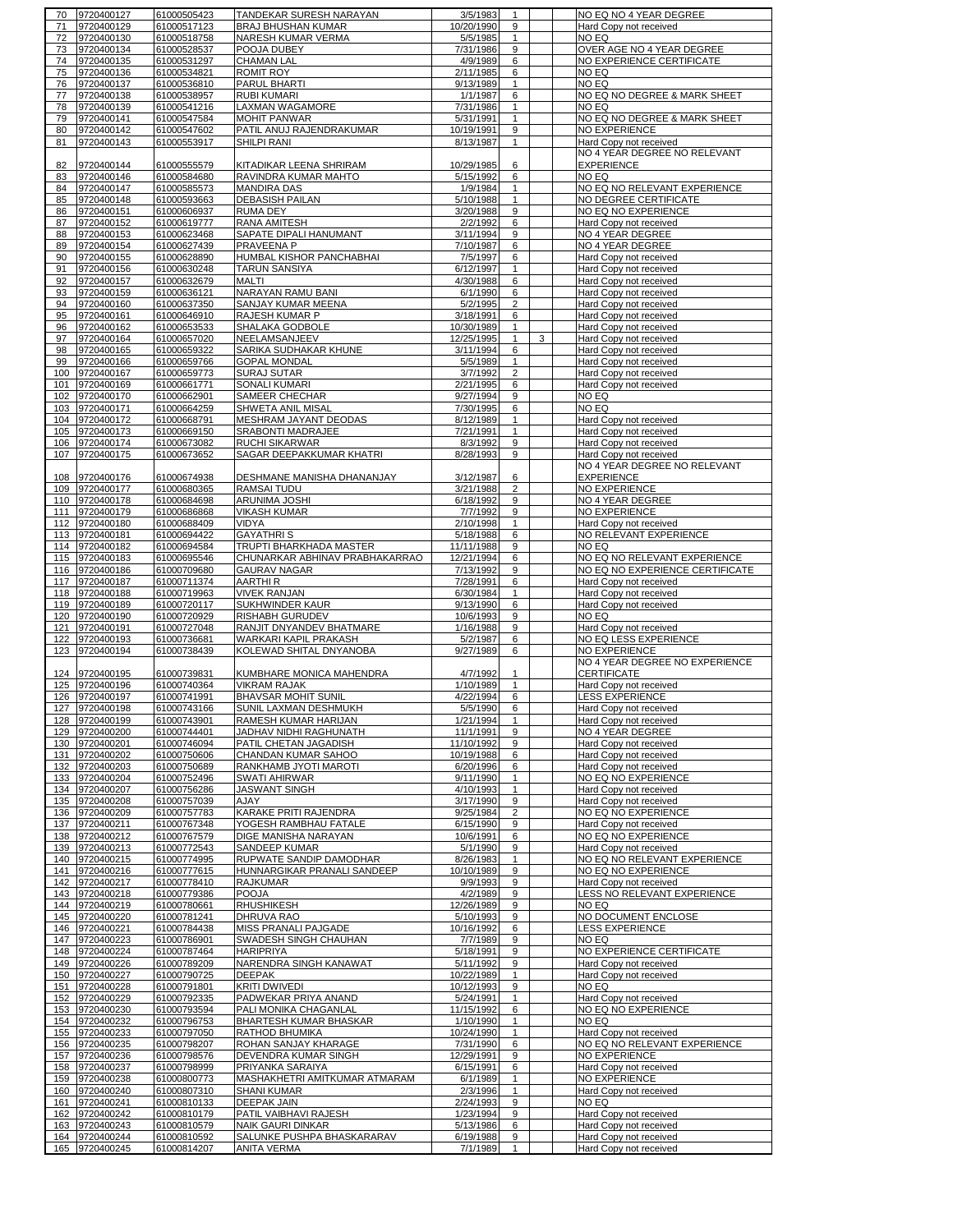|          | 9720400127     | 61000505423 | TANDEKAR SURESH NARAYAN        | 3/5/1983             | 1              |   | NO EQ NO 4 YEAR DEGREE          |
|----------|----------------|-------------|--------------------------------|----------------------|----------------|---|---------------------------------|
| 70<br>71 |                | 61000517123 |                                |                      | 9              |   |                                 |
|          | 9720400129     |             | BRAJ BHUSHAN KUMAR             | 10/20/1990           |                |   | Hard Copy not received          |
| 72       | 9720400130     | 61000518758 | NARESH KUMAR VERMA             | 5/5/1985             | $\mathbf{1}$   |   | NO EQ                           |
| 73       | 9720400134     | 61000528537 | POOJA DUBEY                    | 7/31/1986            | 9              |   | OVER AGE NO 4 YEAR DEGREE       |
| 74       | 9720400135     | 61000531297 | <b>CHAMAN LAL</b>              | $\frac{4}{9/1989}$   | 6              |   | NO EXPERIENCE CERTIFICATE       |
| 75       | 9720400136     | 61000534821 | <b>ROMIT ROY</b>               | 2/11/1985            | 6              |   | NO EQ                           |
|          |                |             |                                |                      |                |   |                                 |
| 76       | 9720400137     | 61000536810 | PARUL BHARTI                   | 9/13/1989            | $\mathbf{1}$   |   | NO EQ                           |
| 77       | 9720400138     | 61000538957 | <b>RUBI KUMARI</b>             | $\frac{1}{1}$ 1/1987 | 6              |   | NO EQ NO DEGREE & MARK SHEET    |
| 78       | 9720400139     | 61000541216 | LAXMAN WAGAMORE                | 7/31/1986            | $\mathbf{1}$   |   | NO EQ                           |
| 79       | 9720400141     | 61000547584 | <b>MOHIT PANWAR</b>            | 5/31/1991            | 1              |   | NO EQ NO DEGREE & MARK SHEET    |
| 80       | 9720400142     | 61000547602 | PATIL ANUJ RAJENDRAKUMAR       | 10/19/1991           | 9              |   | <b>NO EXPERIENCE</b>            |
|          |                |             |                                |                      |                |   |                                 |
| 81       | 9720400143     | 61000553917 | SHILPI RANI                    | 8/13/1987            | 1              |   | Hard Copy not received          |
|          |                |             |                                |                      |                |   | NO 4 YEAR DEGREE NO RELEVANT    |
| 82       | 9720400144     | 61000555579 | KITADIKAR LEENA SHRIRAM        | 10/29/1985           | 6              |   | <b>EXPERIENCE</b>               |
| 83       | 9720400146     | 61000584680 | RAVINDRA KUMAR MAHTO           | 5/15/1992            | 6              |   | NO EQ                           |
|          |                |             |                                |                      |                |   |                                 |
| 84       | 9720400147     | 61000585573 | <b>MANDIRA DAS</b>             | 1/9/1984             | 1              |   | NO EQ NO RELEVANT EXPERIENCE    |
| 85       | 9720400148     | 61000593663 | <b>DEBASISH PAILAN</b>         | 5/10/1988            | $\mathbf{1}$   |   | NO DEGREE CERTIFICATE           |
| 86       | 9720400151     | 61000606937 | <b>RUMA DEY</b>                | 3/20/1988            | 9              |   | NO EQ NO EXPERIENCE             |
| 87       | 9720400152     | 61000619777 | RANA AMITESH                   | 2/2/1992             | 6              |   | Hard Copy not received          |
| 88       | 9720400153     | 61000623468 | SAPATE DIPALI HANUMANT         | 3/11/1994            | 9              |   | NO 4 YEAR DEGREE                |
|          |                |             |                                |                      |                |   |                                 |
| 89       | 9720400154     | 61000627439 | PRAVEENA P                     | 7/10/1987            | 6              |   | NO 4 YEAR DEGREE                |
| 90       | 9720400155     | 61000628890 | HUMBAL KISHOR PANCHABHAI       | 7/5/1997             | 6              |   | Hard Copy not received          |
| 91       | 9720400156     | 61000630248 | <b>TARUN SANSIYA</b>           | 6/12/1997            | $\mathbf{1}$   |   | Hard Copy not received          |
| 92       | 9720400157     | 61000632679 | MALTI                          | 4/30/1988            | 6              |   | Hard Copy not received          |
| 93       | 9720400159     | 61000636121 | NARAYAN RAMU BANI              | 6/1/1990             | 6              |   | Hard Copy not received          |
|          |                |             |                                |                      |                |   |                                 |
| 94       | 9720400160     | 61000637350 | SANJAY KUMAR MEENA             | 5/2/1995             | $\overline{2}$ |   | Hard Copy not received          |
| 95       | 9720400161     | 61000646910 | RAJESH KUMAR P                 | 3/18/1991            | 6              |   | Hard Copy not received          |
| 96       | 9720400162     | 61000653533 | SHALAKA GODBOLE                | 10/30/1989           | 1              |   | Hard Copy not received          |
| 97       | 9720400164     | 61000657020 | NEELAMSANJEEV                  | 12/25/1995           | 1              | 3 | Hard Copy not received          |
| 98       | 9720400165     |             | SARIKA SUDHAKAR KHUNE          | 3/11/1994            | 6              |   |                                 |
|          |                | 61000659322 |                                |                      |                |   | Hard Copy not received          |
| 99       | 9720400166     | 61000659766 | <b>GOPAL MONDAL</b>            | 5/5/1989             | 1              |   | Hard Copy not received          |
| 100      | 9720400167     | 61000659773 | <b>SURAJ SUTAR</b>             | 3/7/1992             | $\overline{2}$ |   | Hard Copy not received          |
| 101      | 9720400169     | 61000661771 | <b>SONALI KUMARI</b>           | 2/21/1995            | 6              |   | Hard Copy not received          |
|          | 102 9720400170 | 61000662901 | SAMEER CHECHAR                 | 9/27/1994            | 9              |   | NO EQ                           |
|          | 103 9720400171 |             | SHWETA ANIL MISAL              |                      | 6              |   | NO EQ                           |
|          |                | 61000664259 |                                | 7/30/1995            |                |   |                                 |
|          | 104 9720400172 | 61000668791 | MESHRAM JAYANT DEODAS          | 8/12/1989            | 1              |   | Hard Copy not received          |
|          | 105 9720400173 | 61000669150 | SRABONTI MADRAJEE              | 7/21/1991            | 1              |   | Hard Copy not received          |
|          | 106 9720400174 | 61000673082 | RUCHI SIKARWAR                 | 8/3/1992             | 9              |   | Hard Copy not received          |
|          | 107 9720400175 | 61000673652 | SAGAR DEEPAKKUMAR KHATRI       | 8/28/1993            | 9              |   | Hard Copy not received          |
|          |                |             |                                |                      |                |   |                                 |
|          |                |             |                                |                      |                |   | NO 4 YEAR DEGREE NO RELEVANT    |
|          | 108 9720400176 | 61000674938 | DESHMANE MANISHA DHANANJAY     | 3/12/1987            | 6              |   | <b>EXPERIENCE</b>               |
|          | 109 9720400177 | 61000680365 | <b>RAMSAI TUDU</b>             | 3/21/1988            | $\overline{2}$ |   | <b>NO EXPERIENCE</b>            |
|          | 110 9720400178 | 61000684698 | ARUNIMA JOSHI                  | 6/18/1992            | 9              |   | NO 4 YEAR DEGREE                |
|          |                |             |                                |                      |                |   |                                 |
|          | 111 9720400179 | 61000686868 | <b>VIKASH KUMAR</b>            | 7/7/1992             | 9              |   | <b>NO EXPERIENCE</b>            |
|          | 112 9720400180 | 61000688409 | <b>VIDYA</b>                   | 2/10/1998            | 1              |   | Hard Copy not received          |
|          | 113 9720400181 | 61000694422 | <b>GAYATHRIS</b>               | 5/18/1988            | 6              |   | NO RELEVANT EXPERIENCE          |
|          | 114 9720400182 | 61000694584 | TRUPTI BHARKHADA MASTER        | 11/11/1988           | 9              |   | NO EQ                           |
|          | 115 9720400183 | 61000695546 | CHUNARKAR ABHINAV PRABHAKARRAO | 12/21/1994           | 6              |   | NO EQ NO RELEVANT EXPERIENCE    |
|          |                |             |                                | 7/13/1992            |                |   |                                 |
|          | 116 9720400186 | 61000709680 | <b>GAURAV NAGAR</b>            |                      | 9              |   | NO EQ NO EXPERIENCE CERTIFICATE |
|          | 117 9720400187 | 61000711374 | AARTHI R                       | 7/28/1991            | 6              |   | Hard Copy not received          |
|          | 118 9720400188 | 61000719963 | <b>VIVEK RANJAN</b>            | 6/30/1984            | $\mathbf{1}$   |   | Hard Copy not received          |
|          |                |             |                                |                      |                |   |                                 |
|          |                |             |                                |                      |                |   |                                 |
|          | 119 9720400189 | 61000720117 | SUKHWINDER KAUR                | 9/13/1990            | 6              |   | Hard Copy not received          |
|          | 120 9720400190 | 61000720929 | RISHABH GURUDEV                | 10/6/1993            | 9              |   | NO EQ                           |
| 121      | 9720400191     | 61000727048 | RANJIT DNYANDEV BHATMARE       | 1/16/1988            | 9              |   | Hard Copy not received          |
| 122      | 9720400193     | 61000736681 | WARKARI KAPIL PRAKASH          | 5/2/1987             | 6              |   | NO EQ LESS EXPERIENCE           |
|          | 123 9720400194 |             |                                |                      |                |   |                                 |
|          |                | 61000738439 | KOLEWAD SHITAL DNYANOBA        | 9/27/1989            | 6              |   | <b>NO EXPERIENCE</b>            |
|          |                |             |                                |                      |                |   | NO 4 YEAR DEGREE NO EXPERIENCE  |
|          | 124 9720400195 | 61000739831 | KUMBHARE MONICA MAHENDRA       | 4/7/1992             | 1              |   | CERTIFICATE                     |
|          | 125 9720400196 | 61000740364 | <b>VIKRAM RAJAK</b>            | 1/10/1989            | $\mathbf{1}$   |   | Hard Copy not received          |
|          | 126 9720400197 | 61000741991 | <b>BHAVSAR MOHIT SUNIL</b>     | 4/22/1994            | 6              |   | <b>LESS EXPERIENCE</b>          |
|          |                |             |                                |                      |                |   |                                 |
|          | 127 9720400198 | 61000743166 | SUNIL LAXMAN DESHMUKH          | 5/5/1990             | 6              |   | Hard Copy not received          |
|          | 128 9720400199 | 61000743901 | RAMESH KUMAR HARIJAN           | 1/21/1994            | 1              |   | Hard Copy not received          |
|          | 129 9720400200 | 61000744401 | JADHAV NIDHI RAGHUNATH         | 11/1/1991            | 9              |   | NO 4 YEAR DEGREE                |
|          | 130 9720400201 | 61000746094 | PATIL CHETAN JAGADISH          | 11/10/1992           | 9              |   | Hard Copy not received          |
|          | 131 9720400202 | 61000750606 | CHANDAN KUMAR SAHOO            | 10/19/1988           | 6              |   | Hard Copy not received          |
|          | 132 9720400203 | 61000750689 | RANKHAMB JYOTI MAROTI          | 6/20/1996            | 6              |   | Hard Copy not received          |
|          |                |             |                                |                      |                |   |                                 |
|          | 133 9720400204 | 61000752496 | SWATI AHIRWAR                  | 9/11/1990            | $\mathbf{1}$   |   | NO EQ NO EXPERIENCE             |
|          | 134 9720400207 | 61000756286 | <b>JASWANT SINGH</b>           | 4/10/1993            | $\mathbf{1}$   |   | Hard Copy not received          |
|          | 135 9720400208 | 61000757039 | AJAY                           | 3/17/1990            | 9              |   | Hard Copy not received          |
|          | 136 9720400209 | 61000757783 | KARAKE PRITI RAJENDRA          | 9/25/1984            | 2              |   | NO EQ NO EXPERIENCE             |
|          | 137 9720400211 | 61000767348 | YOGESH RAMBHAU FATALE          | 6/15/1990            | 9              |   | Hard Copy not received          |
|          | 138 9720400212 | 61000767579 | DIGE MANISHA NARAYAN           | 10/6/1991            | 6              |   | NO EQ NO EXPERIENCE             |
|          |                |             |                                |                      |                |   |                                 |
|          | 139 9720400213 | 61000772543 | SANDEEP KUMAR                  | 5/1/1990             | 9              |   | Hard Copy not received          |
|          | 140 9720400215 | 61000774995 | RUPWATE SANDIP DAMODHAR        | 8/26/1983            | 1              |   | NO EQ NO RELEVANT EXPERIENCE    |
|          | 141 9720400216 | 61000777615 | HUNNARGIKAR PRANALI SANDEEP    | 10/10/1989           | 9              |   | NO EQ NO EXPERIENCE             |
|          | 142 9720400217 | 61000778410 | RAJKUMAR                       | 9/9/1993             | 9              |   | Hard Copy not received          |
|          | 143 9720400218 | 61000779386 | <b>POOJA</b>                   | 4/2/1989             | 9              |   | LESS NO RELEVANT EXPERIENCE     |
|          | 144 9720400219 | 61000780661 |                                |                      | 9              |   | NO EQ                           |
|          |                |             | <b>RHUSHIKESH</b>              | 12/26/1989           |                |   |                                 |
|          | 145 9720400220 | 61000781241 | DHRUVA RAO                     | 5/10/1993            | 9              |   | NO DOCUMENT ENCLOSE             |
|          | 146 9720400221 | 61000784438 | MISS PRANALI PAJGADE           | 10/16/1992           | 6              |   | <b>LESS EXPERIENCE</b>          |
|          | 147 9720400223 | 61000786901 | SWADESH SINGH CHAUHAN          | 7/7/1989             | 9              |   | NO EQ                           |
| 148      | 9720400224     | 61000787464 | HARIPRIYA                      | 5/18/1991            | 9              |   | NO EXPERIENCE CERTIFICATE       |
|          |                | 61000789209 | NARENDRA SINGH KANAWAT         |                      | 9              |   | Hard Copy not received          |
|          | 149 9720400226 |             |                                | 5/11/1992            |                |   |                                 |
|          | 150 9720400227 | 61000790725 | <b>DEEPAK</b>                  | 10/22/1989           | 1              |   | Hard Copy not received          |
|          | 151 9720400228 | 61000791801 | <b>KRITI DWIVEDI</b>           | 10/12/1993           | 9              |   | NO EQ                           |
| 152      | 9720400229     | 61000792335 | PADWEKAR PRIYA ANAND           | 5/24/1991            | 1              |   | Hard Copy not received          |
|          | 153 9720400230 | 61000793594 | PALI MONIKA CHAGANLAL          | 11/15/1992           | 6              |   | NO EQ NO EXPERIENCE             |
|          |                |             |                                |                      |                |   |                                 |
|          | 154 9720400232 | 61000796753 | BHARTESH KUMAR BHASKAR         | 1/10/1990            | 1              |   | NO EQ                           |
|          | 155 9720400233 | 61000797050 | RATHOD BHUMIKA                 | 10/24/1990           | 1              |   | Hard Copy not received          |
|          | 156 9720400235 | 61000798207 | ROHAN SANJAY KHARAGE           | 7/31/1990            | 6              |   | NO EQ NO RELEVANT EXPERIENCE    |
|          | 157 9720400236 | 61000798576 | DEVENDRA KUMAR SINGH           | 12/29/1991           | 9              |   | <b>NO EXPERIENCE</b>            |
|          | 158 9720400237 | 61000798999 | PRIYANKA SARAIYA               | 6/15/1991            | 6              |   | Hard Copy not received          |
|          | 159 9720400238 | 61000800773 | MASHAKHETRI AMITKUMAR ATMARAM  | 6/1/1989             | $\mathbf{1}$   |   | <b>NO EXPERIENCE</b>            |
|          |                |             |                                |                      |                |   |                                 |
|          | 160 9720400240 | 61000807310 | <b>SHANI KUMAR</b>             | 2/3/1996             | $\mathbf{1}$   |   | Hard Copy not received          |
|          | 161 9720400241 | 61000810133 | <b>DEEPAK JAIN</b>             | 2/24/1993            | 9              |   | NO EQ                           |
|          | 162 9720400242 | 61000810179 | PATIL VAIBHAVI RAJESH          | 1/23/1994            | 9              |   | Hard Copy not received          |
|          | 163 9720400243 | 61000810579 | NAIK GAURI DINKAR              | 5/13/1986            | 6              |   | Hard Copy not received          |
|          | 164 9720400244 | 61000810592 | SALUNKE PUSHPA BHASKARARAV     | 6/19/1988            | 9              |   | Hard Copy not received          |
|          | 165 9720400245 | 61000814207 | <b>ANITA VERMA</b>             | 7/1/1989             |                |   | Hard Copy not received          |